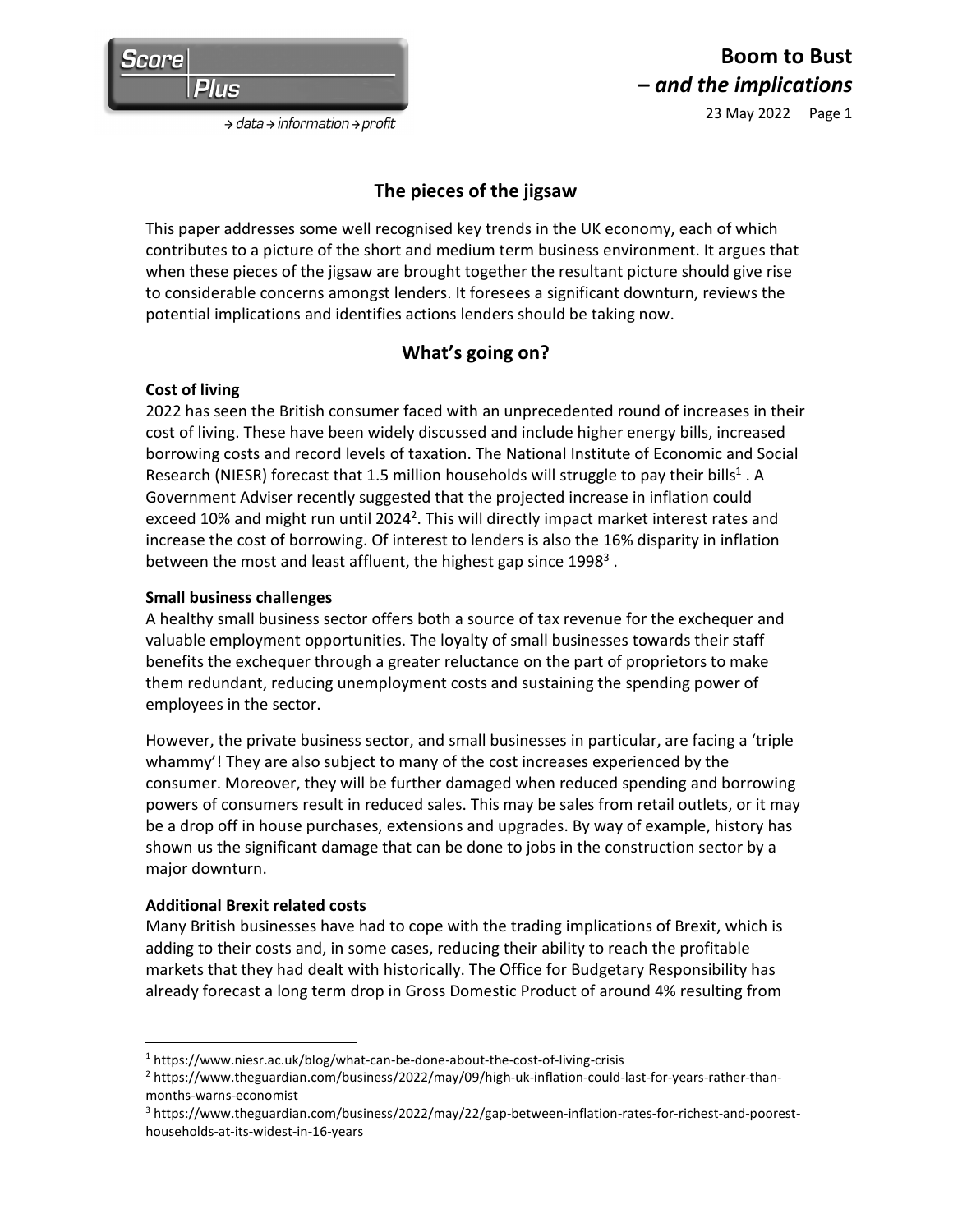# **Boom to Bust –** *and the implications*

23 May 2022 Page 1

 $\rightarrow$  data  $\rightarrow$  information  $\rightarrow$  profit

## **The pieces of the jigsaw**

This paper addresses some well recognised key trends in the UK economy, each of which contributes to a picture of the short and medium term business environment. It argues that when these pieces of the jigsaw are brought together the resultant picture should give rise to considerable concerns amongst lenders. It foresees a significant downturn, reviews the potential implications and identifies actions lenders should be taking now.

# **What's going on?**

### **Cost of living**

2022 has seen the British consumer faced with an unprecedented round of increases in their cost of living. These have been widely discussed and include higher energy bills, increased borrowing costs and record levels of taxation. The National Institute of Economic and Social Research (NIESR) forecast that 1.5 million households will struggle to pay their bills<sup>1</sup>. A Government Adviser recently suggested that the projected increase in inflation could exceed 10% and might run until 2024<sup>2</sup>. This will directly impact market interest rates and increase the cost of borrowing. Of interest to lenders is also the 16% disparity in inflation between the most and least affluent, the highest gap since 1998<sup>3</sup>.

### **Small business challenges**

A healthy small business sector offers both a source of tax revenue for the exchequer and valuable employment opportunities. The loyalty of small businesses towards their staff benefits the exchequer through a greater reluctance on the part of proprietors to make them redundant, reducing unemployment costs and sustaining the spending power of employees in the sector.

However, the private business sector, and small businesses in particular, are facing a 'triple whammy'! They are also subject to many of the cost increases experienced by the consumer. Moreover, they will be further damaged when reduced spending and borrowing powers of consumers result in reduced sales. This may be sales from retail outlets, or it may be a drop off in house purchases, extensions and upgrades. By way of example, history has shown us the significant damage that can be done to jobs in the construction sector by a major downturn.

### **Additional Brexit related costs**

Many British businesses have had to cope with the trading implications of Brexit, which is adding to their costs and, in some cases, reducing their ability to reach the profitable markets that they had dealt with historically. The Office for Budgetary Responsibility has already forecast a long term drop in Gross Domestic Product of around 4% resulting from

3 https://www.theguardian.com/business/2022/may/22/gap-between-inflation-rates-for-richest-and-pooresthouseholds-at-its-widest-in-16-years

<sup>&</sup>lt;sup>1</sup> https://www.niesr.ac.uk/blog/what-can-be-done-about-the-cost-of-living-crisis

<sup>2</sup> https://www.theguardian.com/business/2022/may/09/high-uk-inflation-could-last-for-years-rather-thanmonths-warns-economist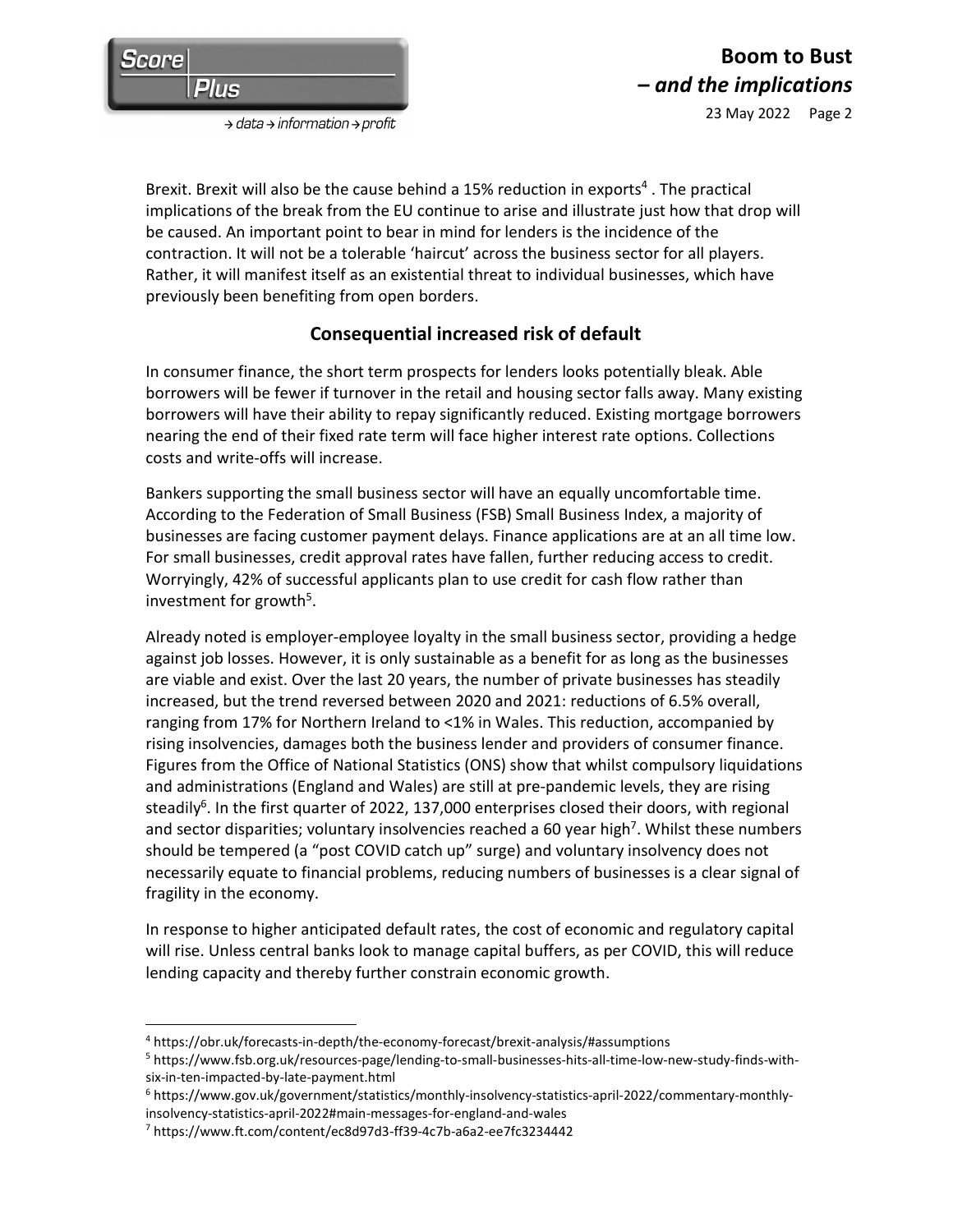

 $\rightarrow$  data  $\rightarrow$  information  $\rightarrow$  profit

Brexit. Brexit will also be the cause behind a 15% reduction in exports<sup>4</sup>. The practical implications of the break from the EU continue to arise and illustrate just how that drop will be caused. An important point to bear in mind for lenders is the incidence of the contraction. It will not be a tolerable 'haircut' across the business sector for all players. Rather, it will manifest itself as an existential threat to individual businesses, which have previously been benefiting from open borders.

### **Consequential increased risk of default**

In consumer finance, the short term prospects for lenders looks potentially bleak. Able borrowers will be fewer if turnover in the retail and housing sector falls away. Many existing borrowers will have their ability to repay significantly reduced. Existing mortgage borrowers nearing the end of their fixed rate term will face higher interest rate options. Collections costs and write-offs will increase.

Bankers supporting the small business sector will have an equally uncomfortable time. According to the Federation of Small Business (FSB) Small Business Index, a majority of businesses are facing customer payment delays. Finance applications are at an all time low. For small businesses, credit approval rates have fallen, further reducing access to credit. Worryingly, 42% of successful applicants plan to use credit for cash flow rather than investment for growth<sup>5</sup>.

Already noted is employer-employee loyalty in the small business sector, providing a hedge against job losses. However, it is only sustainable as a benefit for as long as the businesses are viable and exist. Over the last 20 years, the number of private businesses has steadily increased, but the trend reversed between 2020 and 2021: reductions of 6.5% overall, ranging from 17% for Northern Ireland to <1% in Wales. This reduction, accompanied by rising insolvencies, damages both the business lender and providers of consumer finance. Figures from the Office of National Statistics (ONS) show that whilst compulsory liquidations and administrations (England and Wales) are still at pre-pandemic levels, they are rising steadily<sup>6</sup>. In the first quarter of 2022, 137,000 enterprises closed their doors, with regional and sector disparities; voluntary insolvencies reached a 60 year high<sup>7</sup>. Whilst these numbers should be tempered (a "post COVID catch up" surge) and voluntary insolvency does not necessarily equate to financial problems, reducing numbers of businesses is a clear signal of fragility in the economy.

In response to higher anticipated default rates, the cost of economic and regulatory capital will rise. Unless central banks look to manage capital buffers, as per COVID, this will reduce lending capacity and thereby further constrain economic growth.

<sup>4</sup> https://obr.uk/forecasts-in-depth/the-economy-forecast/brexit-analysis/#assumptions

<sup>5</sup> https://www.fsb.org.uk/resources-page/lending-to-small-businesses-hits-all-time-low-new-study-finds-withsix-in-ten-impacted-by-late-payment.html

<sup>6</sup> https://www.gov.uk/government/statistics/monthly-insolvency-statistics-april-2022/commentary-monthlyinsolvency-statistics-april-2022#main-messages-for-england-and-wales

<sup>7</sup> https://www.ft.com/content/ec8d97d3-ff39-4c7b-a6a2-ee7fc3234442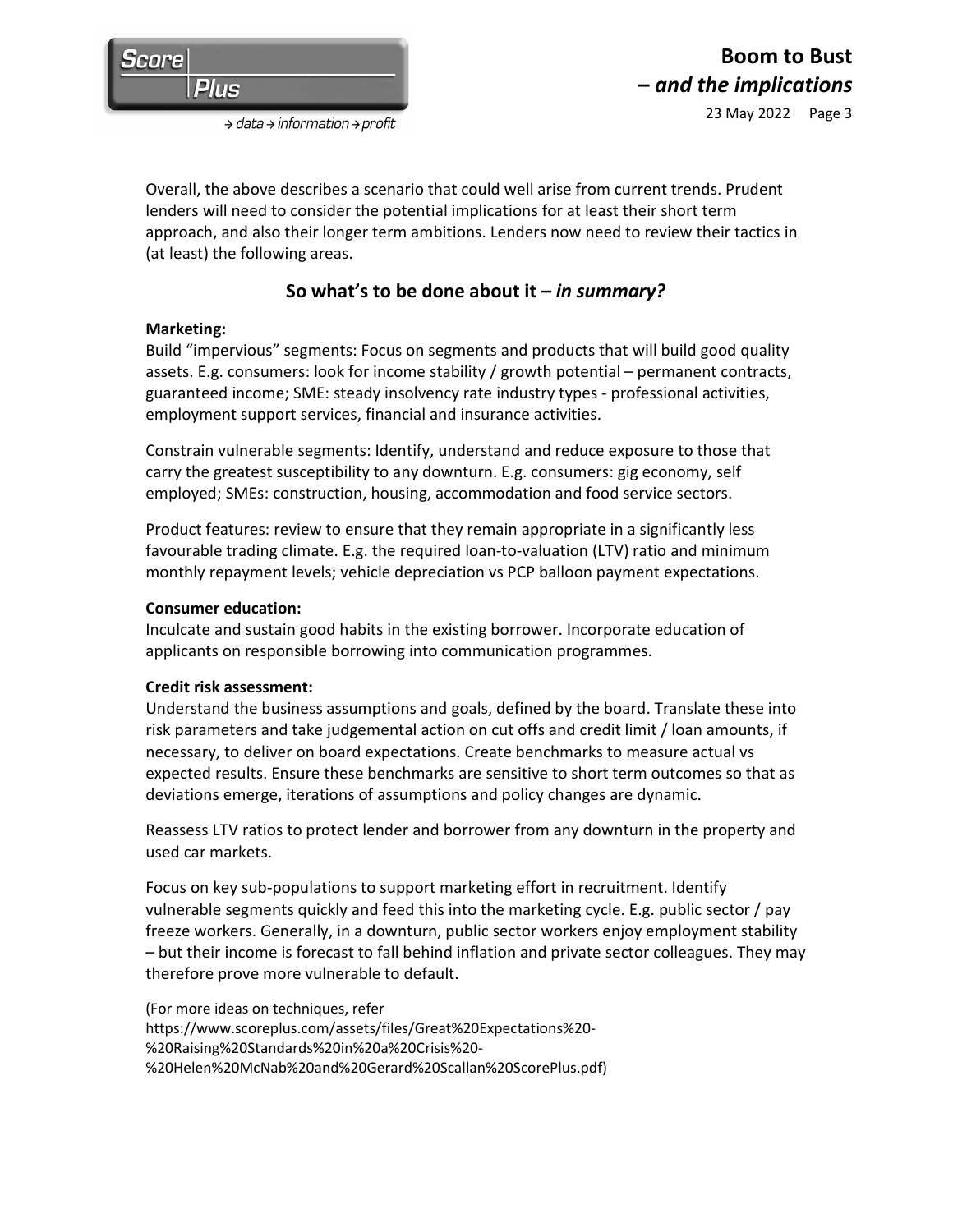

 $\rightarrow$  data  $\rightarrow$  information  $\rightarrow$  profit

Overall, the above describes a scenario that could well arise from current trends. Prudent lenders will need to consider the potential implications for at least their short term approach, and also their longer term ambitions. Lenders now need to review their tactics in (at least) the following areas.

# **So what's to be done about it –** *in summary?*

### **Marketing:**

Build "impervious" segments: Focus on segments and products that will build good quality assets. E.g. consumers: look for income stability / growth potential – permanent contracts, guaranteed income; SME: steady insolvency rate industry types - professional activities, employment support services, financial and insurance activities.

Constrain vulnerable segments: Identify, understand and reduce exposure to those that carry the greatest susceptibility to any downturn. E.g. consumers: gig economy, self employed; SMEs: construction, housing, accommodation and food service sectors.

Product features: review to ensure that they remain appropriate in a significantly less favourable trading climate. E.g. the required loan-to-valuation (LTV) ratio and minimum monthly repayment levels; vehicle depreciation vs PCP balloon payment expectations.

#### **Consumer education:**

Inculcate and sustain good habits in the existing borrower. Incorporate education of applicants on responsible borrowing into communication programmes.

### **Credit risk assessment:**

Understand the business assumptions and goals, defined by the board. Translate these into risk parameters and take judgemental action on cut offs and credit limit / loan amounts, if necessary, to deliver on board expectations. Create benchmarks to measure actual vs expected results. Ensure these benchmarks are sensitive to short term outcomes so that as deviations emerge, iterations of assumptions and policy changes are dynamic.

Reassess LTV ratios to protect lender and borrower from any downturn in the property and used car markets.

Focus on key sub-populations to support marketing effort in recruitment. Identify vulnerable segments quickly and feed this into the marketing cycle. E.g. public sector / pay freeze workers. Generally, in a downturn, public sector workers enjoy employment stability – but their income is forecast to fall behind inflation and private sector colleagues. They may therefore prove more vulnerable to default.

(For more ideas on techniques, refer https://www.scoreplus.com/assets/files/Great%20Expectations%20- %20Raising%20Standards%20in%20a%20Crisis%20- %20Helen%20McNab%20and%20Gerard%20Scallan%20ScorePlus.pdf)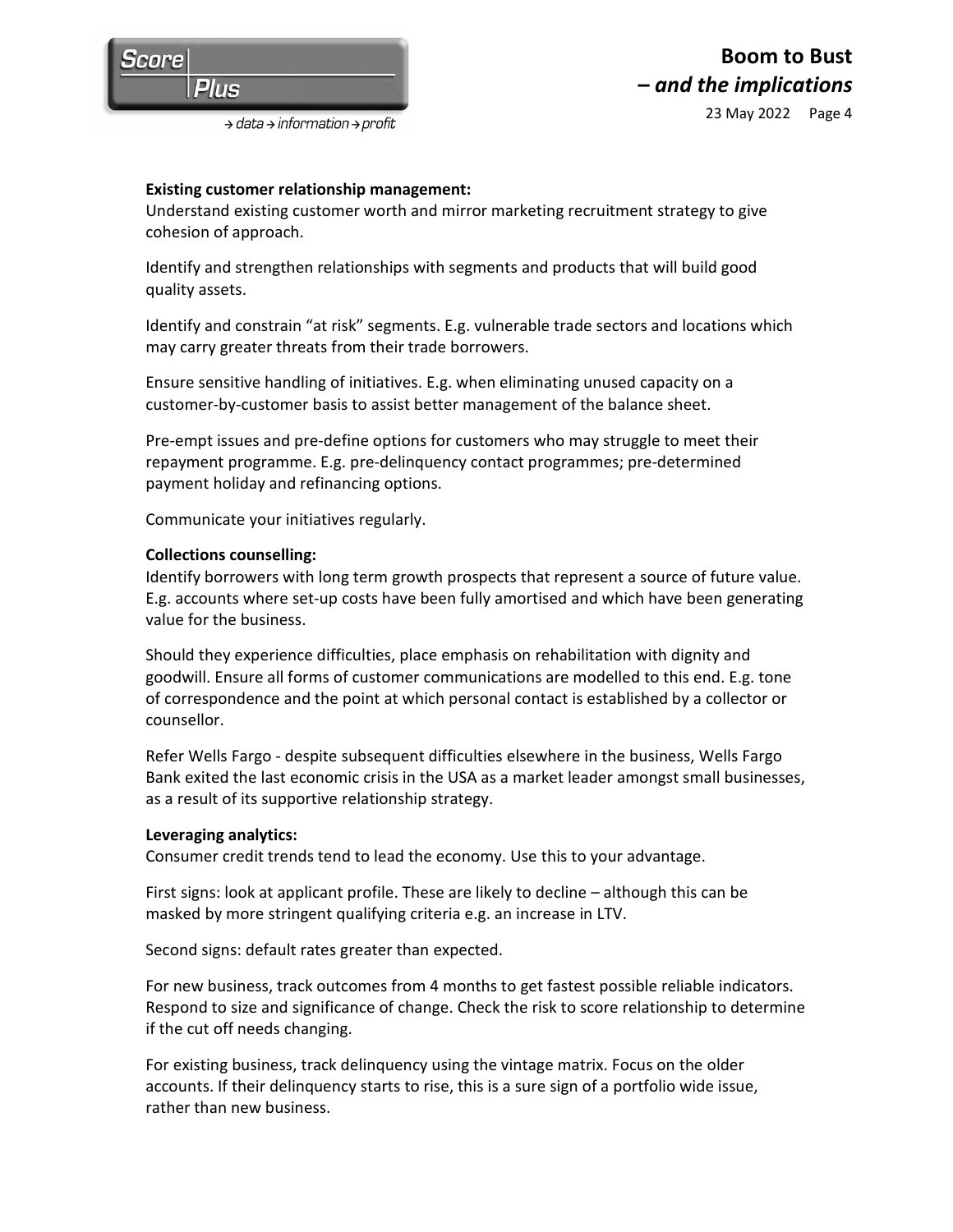

#### **Existing customer relationship management:**

Understand existing customer worth and mirror marketing recruitment strategy to give cohesion of approach.

Identify and strengthen relationships with segments and products that will build good quality assets.

Identify and constrain "at risk" segments. E.g. vulnerable trade sectors and locations which may carry greater threats from their trade borrowers.

Ensure sensitive handling of initiatives. E.g. when eliminating unused capacity on a customer-by-customer basis to assist better management of the balance sheet.

Pre-empt issues and pre-define options for customers who may struggle to meet their repayment programme. E.g. pre-delinquency contact programmes; pre-determined payment holiday and refinancing options.

Communicate your initiatives regularly.

#### **Collections counselling:**

Identify borrowers with long term growth prospects that represent a source of future value. E.g. accounts where set-up costs have been fully amortised and which have been generating value for the business.

Should they experience difficulties, place emphasis on rehabilitation with dignity and goodwill. Ensure all forms of customer communications are modelled to this end. E.g. tone of correspondence and the point at which personal contact is established by a collector or counsellor.

Refer Wells Fargo - despite subsequent difficulties elsewhere in the business, Wells Fargo Bank exited the last economic crisis in the USA as a market leader amongst small businesses, as a result of its supportive relationship strategy.

#### **Leveraging analytics:**

Consumer credit trends tend to lead the economy. Use this to your advantage.

First signs: look at applicant profile. These are likely to decline – although this can be masked by more stringent qualifying criteria e.g. an increase in LTV.

Second signs: default rates greater than expected.

For new business, track outcomes from 4 months to get fastest possible reliable indicators. Respond to size and significance of change. Check the risk to score relationship to determine if the cut off needs changing.

For existing business, track delinquency using the vintage matrix. Focus on the older accounts. If their delinquency starts to rise, this is a sure sign of a portfolio wide issue, rather than new business.